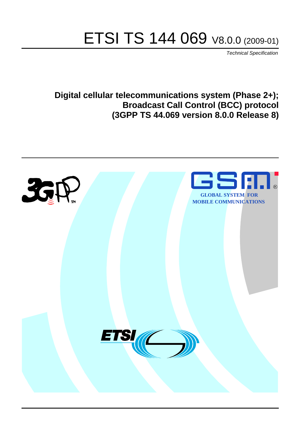# ETSI TS 144 069 V8.0.0 (2009-01)

*Technical Specification*

**Digital cellular telecommunications system (Phase 2+); Broadcast Call Control (BCC) protocol (3GPP TS 44.069 version 8.0.0 Release 8)**

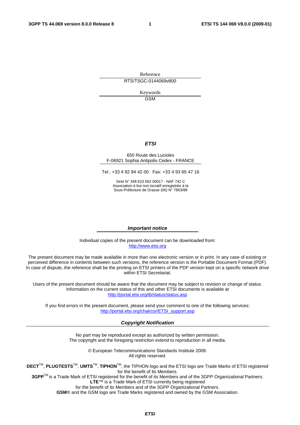Reference RTS/TSGC-0144069v800

> Keywords GSM

#### *ETSI*

#### 650 Route des Lucioles F-06921 Sophia Antipolis Cedex - FRANCE

Tel.: +33 4 92 94 42 00 Fax: +33 4 93 65 47 16

Siret N° 348 623 562 00017 - NAF 742 C Association à but non lucratif enregistrée à la Sous-Préfecture de Grasse (06) N° 7803/88

#### *Important notice*

Individual copies of the present document can be downloaded from: [http://www.etsi.org](http://www.etsi.org/)

The present document may be made available in more than one electronic version or in print. In any case of existing or perceived difference in contents between such versions, the reference version is the Portable Document Format (PDF). In case of dispute, the reference shall be the printing on ETSI printers of the PDF version kept on a specific network drive within ETSI Secretariat.

Users of the present document should be aware that the document may be subject to revision or change of status. Information on the current status of this and other ETSI documents is available at <http://portal.etsi.org/tb/status/status.asp>

If you find errors in the present document, please send your comment to one of the following services: [http://portal.etsi.org/chaircor/ETSI\\_support.asp](http://portal.etsi.org/chaircor/ETSI_support.asp)

#### *Copyright Notification*

No part may be reproduced except as authorized by written permission. The copyright and the foregoing restriction extend to reproduction in all media.

> © European Telecommunications Standards Institute 2009. All rights reserved.

**DECT**TM, **PLUGTESTS**TM, **UMTS**TM, **TIPHON**TM, the TIPHON logo and the ETSI logo are Trade Marks of ETSI registered for the benefit of its Members.

**3GPP**TM is a Trade Mark of ETSI registered for the benefit of its Members and of the 3GPP Organizational Partners. **LTE**™ is a Trade Mark of ETSI currently being registered

for the benefit of its Members and of the 3GPP Organizational Partners.

**GSM**® and the GSM logo are Trade Marks registered and owned by the GSM Association.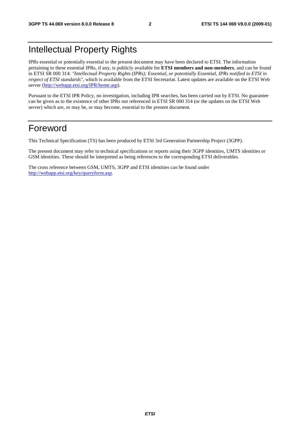# Intellectual Property Rights

IPRs essential or potentially essential to the present document may have been declared to ETSI. The information pertaining to these essential IPRs, if any, is publicly available for **ETSI members and non-members**, and can be found in ETSI SR 000 314: *"Intellectual Property Rights (IPRs); Essential, or potentially Essential, IPRs notified to ETSI in respect of ETSI standards"*, which is available from the ETSI Secretariat. Latest updates are available on the ETSI Web server [\(http://webapp.etsi.org/IPR/home.asp\)](http://webapp.etsi.org/IPR/home.asp).

Pursuant to the ETSI IPR Policy, no investigation, including IPR searches, has been carried out by ETSI. No guarantee can be given as to the existence of other IPRs not referenced in ETSI SR 000 314 (or the updates on the ETSI Web server) which are, or may be, or may become, essential to the present document.

# Foreword

This Technical Specification (TS) has been produced by ETSI 3rd Generation Partnership Project (3GPP).

The present document may refer to technical specifications or reports using their 3GPP identities, UMTS identities or GSM identities. These should be interpreted as being references to the corresponding ETSI deliverables.

The cross reference between GSM, UMTS, 3GPP and ETSI identities can be found under [http://webapp.etsi.org/key/queryform.asp.](http://webapp.etsi.org/key/queryform.asp)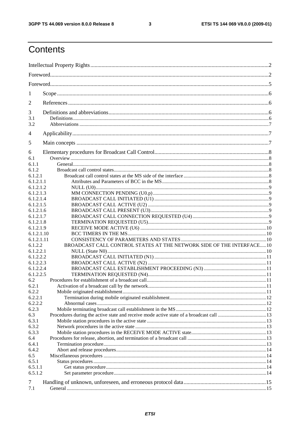#### $\mathbf{3}$

# Contents

| 1                      |                                                                       |  |  |  |
|------------------------|-----------------------------------------------------------------------|--|--|--|
| 2                      |                                                                       |  |  |  |
|                        |                                                                       |  |  |  |
| 3<br>3.1               |                                                                       |  |  |  |
| 3.2                    |                                                                       |  |  |  |
|                        |                                                                       |  |  |  |
| 4                      |                                                                       |  |  |  |
| 5                      |                                                                       |  |  |  |
| 6                      |                                                                       |  |  |  |
| 6.1                    |                                                                       |  |  |  |
| 6.1.1                  |                                                                       |  |  |  |
| 6.1.2                  |                                                                       |  |  |  |
| 6.1.2.1                |                                                                       |  |  |  |
| 6.1.2.1.1              |                                                                       |  |  |  |
| 6.1.2.1.2              |                                                                       |  |  |  |
| 6.1.2.1.3<br>6.1.2.1.4 |                                                                       |  |  |  |
| 6.1.2.1.5              |                                                                       |  |  |  |
| 6.1.2.1.6              |                                                                       |  |  |  |
| 6.1.2.1.7              |                                                                       |  |  |  |
| 6.1.2.1.8              |                                                                       |  |  |  |
| 6.1.2.1.9              |                                                                       |  |  |  |
| 6.1.2.1.10             |                                                                       |  |  |  |
| 6.1.2.1.11             |                                                                       |  |  |  |
| 6.1.2.2                | BROADCAST CALL CONTROL STATES AT THE NETWORK SIDE OF THE INTERFACE 10 |  |  |  |
| 6.1.2.2.1              |                                                                       |  |  |  |
| 6.1.2.2.2              |                                                                       |  |  |  |
| 6.1.2.2.3              |                                                                       |  |  |  |
| 6.1.2.2.4              |                                                                       |  |  |  |
| 6.1.2.2.5              |                                                                       |  |  |  |
| 6.2                    |                                                                       |  |  |  |
| 6.2.1                  |                                                                       |  |  |  |
| 6.2.2                  |                                                                       |  |  |  |
| 6.2.2.1<br>6.2.2.2     |                                                                       |  |  |  |
| 6.2.3                  |                                                                       |  |  |  |
| 6.3                    |                                                                       |  |  |  |
| 6.3.1                  |                                                                       |  |  |  |
| 6.3.2                  |                                                                       |  |  |  |
| 6.3.3                  |                                                                       |  |  |  |
| 6.4                    |                                                                       |  |  |  |
| 6.4.1                  |                                                                       |  |  |  |
| 6.4.2                  |                                                                       |  |  |  |
| 6.5                    |                                                                       |  |  |  |
| 6.5.1                  |                                                                       |  |  |  |
| 6.5.1.1                |                                                                       |  |  |  |
| 6.5.1.2                |                                                                       |  |  |  |
| 7                      |                                                                       |  |  |  |
| 7.1                    |                                                                       |  |  |  |
|                        |                                                                       |  |  |  |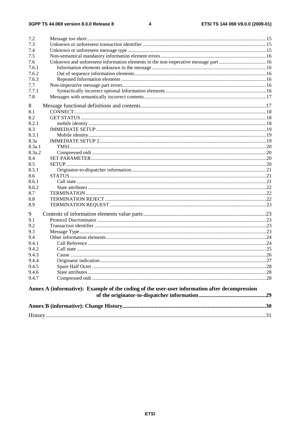#### $\overline{\mathbf{4}}$

| 7.2    |                                                                                               |  |
|--------|-----------------------------------------------------------------------------------------------|--|
| 7.3    |                                                                                               |  |
| 7.4    |                                                                                               |  |
| 7.5    |                                                                                               |  |
| 7.6    | Unknown and unforeseen information elements in the non-imperative message part 16             |  |
| 7.6.1  |                                                                                               |  |
| 7.6.2  |                                                                                               |  |
| 7.6.3  |                                                                                               |  |
| 7.7    |                                                                                               |  |
| 7.7.1  |                                                                                               |  |
| 7.8    |                                                                                               |  |
|        |                                                                                               |  |
| 8      |                                                                                               |  |
| 8.1    |                                                                                               |  |
| 8.2    |                                                                                               |  |
| 8.2.1  |                                                                                               |  |
| 8.3    |                                                                                               |  |
| 8.3.1  |                                                                                               |  |
| 8.3a   |                                                                                               |  |
| 8.3a.1 |                                                                                               |  |
| 8.3a.2 |                                                                                               |  |
| 8.4    |                                                                                               |  |
| 8.5    |                                                                                               |  |
| 8.5.1  |                                                                                               |  |
| 8.6    |                                                                                               |  |
| 8.6.1  |                                                                                               |  |
| 8.6.2  |                                                                                               |  |
| 8.7    |                                                                                               |  |
| 8.8    |                                                                                               |  |
| 8.9    |                                                                                               |  |
| 9      |                                                                                               |  |
| 9.1    |                                                                                               |  |
| 9.2    |                                                                                               |  |
| 9.3    |                                                                                               |  |
| 9.4    |                                                                                               |  |
| 9.4.1  |                                                                                               |  |
| 9.4.2  |                                                                                               |  |
| 9.4.3  |                                                                                               |  |
| 9.4.4  |                                                                                               |  |
| 9.4.5  |                                                                                               |  |
| 9.4.6  |                                                                                               |  |
| 9.4.7  |                                                                                               |  |
|        | Annex A (informative): Example of the coding of the user-user information after decompression |  |
|        |                                                                                               |  |
|        |                                                                                               |  |
|        |                                                                                               |  |
|        |                                                                                               |  |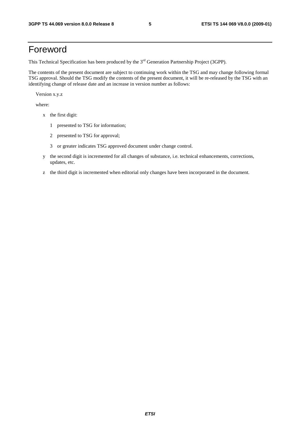# Foreword

This Technical Specification has been produced by the 3<sup>rd</sup> Generation Partnership Project (3GPP).

The contents of the present document are subject to continuing work within the TSG and may change following formal TSG approval. Should the TSG modify the contents of the present document, it will be re-released by the TSG with an identifying change of release date and an increase in version number as follows:

Version x.y.z

where:

- x the first digit:
	- 1 presented to TSG for information;
	- 2 presented to TSG for approval;
	- 3 or greater indicates TSG approved document under change control.
- y the second digit is incremented for all changes of substance, i.e. technical enhancements, corrections, updates, etc.
- z the third digit is incremented when editorial only changes have been incorporated in the document.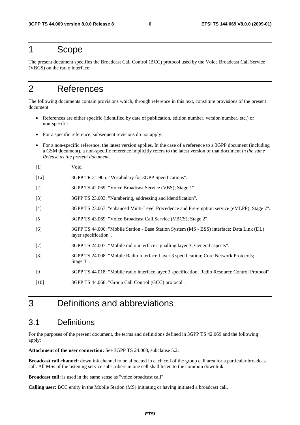# 1 Scope

The present document specifies the Broadcast Call Control (BCC) protocol used by the Voice Broadcast Call Service (VBCS) on the radio interface.

# 2 References

The following documents contain provisions which, through reference in this text, constitute provisions of the present document.

- References are either specific (identified by date of publication, edition number, version number, etc.) or non-specific.
- For a specific reference, subsequent revisions do not apply.
- For a non-specific reference, the latest version applies. In the case of a reference to a 3GPP document (including a GSM document), a non-specific reference implicitly refers to the latest version of that document *in the same Release as the present document*.
- [1] Void.
- [1a] 3GPP TR 21.905: "Vocabulary for 3GPP Specifications".
- [2] 3GPP TS 42.069: "Voice Broadcast Service (VBS); Stage 1".
- [3] 3GPP TS 23.003: "Numbering, addressing and identification".
- [4] 3GPP TS 23.067: "enhanced Multi-Level Precedence and Pre-emption service (eMLPP); Stage 2".
- [5] 3GPP TS 43.069: "Voice Broadcast Call Service (VBCS); Stage 2".
- [6] 3GPP TS 44.006: "Mobile Station Base Station System (MS BSS) interface; Data Link (DL) layer specification".
- [7] 3GPP TS 24.007: "Mobile radio interface signalling layer 3; General aspects".
- [8] 3GPP TS 24.008: "Mobile Radio Interface Layer 3 specification; Core Network Protocols; Stage 3".
- [9] 3GPP TS 44.018: "Mobile radio interface layer 3 specification; Radio Resource Control Protocol".
- [10] 3GPP TS 44.068: "Group Call Control (GCC) protocol".

# 3 Definitions and abbreviations

### 3.1 Definitions

For the purposes of the present document, the terms and definitions defined in 3GPP TS 42.069 and the following apply:

**Attachment of the user connection:** See 3GPP TS 24.008, subclause 5.2.

**Broadcast call channel:** downlink channel to be allocated in each cell of the group call area for a particular broadcast call. All MSs of the listening service subscribers in one cell shall listen to the common downlink.

**Broadcast call:** is used in the same sense as "voice broadcast call".

**Calling user:** BCC entity in the Mobile Station (MS) initiating or having initiated a broadcast call.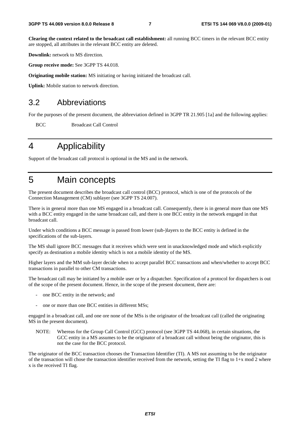**Clearing the context related to the broadcast call establishment:** all running BCC timers in the relevant BCC entity are stopped, all attributes in the relevant BCC entity are deleted.

**Downlink:** network to MS direction.

**Group receive mode:** See 3GPP TS 44.018.

**Originating mobile station:** MS initiating or having initiated the broadcast call.

**Uplink:** Mobile station to network direction.

### 3.2 Abbreviations

For the purposes of the present document, the abbreviation defined in 3GPP TR 21.905 [1a] and the following applies:

BCC Broadcast Call Control

# 4 Applicability

Support of the broadcast call protocol is optional in the MS and in the network.

# 5 Main concepts

The present document describes the broadcast call control (BCC) protocol, which is one of the protocols of the Connection Management (CM) sublayer (see 3GPP TS 24.007).

There is in general more than one MS engaged in a broadcast call. Consequently, there is in general more than one MS with a BCC entity engaged in the same broadcast call, and there is one BCC entity in the network engaged in that broadcast call.

Under which conditions a BCC message is passed from lower (sub-)layers to the BCC entity is defined in the specifications of the sub-layers.

The MS shall ignore BCC messages that it receives which were sent in unacknowledged mode and which explicitly specify as destination a mobile identity which is not a mobile identity of the MS.

Higher layers and the MM sub-layer decide when to accept parallel BCC transactions and when/whether to accept BCC transactions in parallel to other CM transactions.

The broadcast call may be initiated by a mobile user or by a dispatcher. Specification of a protocol for dispatchers is out of the scope of the present document. Hence, in the scope of the present document, there are:

- one BCC entity in the network; and
- one or more than one BCC entities in different MSs;

engaged in a broadcast call, and one ore none of the MSs is the originator of the broadcast call (called the originating MS in the present document).

NOTE: Whereas for the Group Call Control (GCC) protocol (see 3GPP TS 44.068), in certain situations, the GCC entity in a MS assumes to be the originator of a broadcast call without being the originator, this is not the case for the BCC protocol.

The originator of the BCC transaction chooses the Transaction Identifier (TI). A MS not assuming to be the originator of the transaction will chose the transaction identifier received from the network, setting the TI flag to  $1+x \mod 2$  where x is the received TI flag.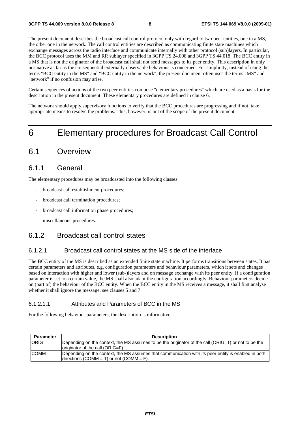The present document describes the broadcast call control protocol only with regard to two peer entities, one in a MS, the other one in the network. The call control entities are described as communicating finite state machines which exchange messages across the radio interface and communicate internally with other protocol (sub)layers. In particular, the BCC protocol uses the MM and RR sublayer specified in 3GPP TS 24.008 and 3GPP TS 44.018. The BCC entity in a MS that is not the originator of the broadcast call shall not send messages to its peer entity. This description in only normative as far as the consequential externally observable behaviour is concerned. For simplicity, instead of using the terms "BCC entity in the MS" and "BCC entity in the network", the present document often uses the terms "MS" and "network" if no confusion may arise.

Certain sequences of actions of the two peer entities compose "elementary procedures" which are used as a basis for the description in the present document. These elementary procedures are defined in clause 6.

The network should apply supervisory functions to verify that the BCC procedures are progressing and if not, take appropriate means to resolve the problems. This, however, is out of the scope of the present document.

# 6 Elementary procedures for Broadcast Call Control

### 6.1 Overview

### 6.1.1 General

The elementary procedures may be broadcasted into the following classes:

- broadcast call establishment procedures;
- broadcast call termination procedures;
- broadcast call information phase procedures;
- miscellaneous procedures.

### 6.1.2 Broadcast call control states

#### 6.1.2.1 Broadcast call control states at the MS side of the interface

The BCC entity of the MS is described as an extended finite state machine. It performs transitions between states. It has certain parameters and attributes, e.g. configuration parameters and behaviour parameters, which it sets and changes based on interaction with higher and lower (sub-)layers and on message exchange with its peer entity. If a configuration parameter is set to a certain value, the MS shall also adapt the configuration accordingly. Behaviour parameters decide on (part of) the behaviour of the BCC entity. When the BCC entity in the MS receives a message, it shall first analyse whether it shall ignore the message, see clauses 5 and 7.

### 6.1.2.1.1 Attributes and Parameters of BCC in the MS

For the following behaviour parameters, the description is informative.

| <b>Parameter</b> | <b>Description</b>                                                                                                                              |
|------------------|-------------------------------------------------------------------------------------------------------------------------------------------------|
| <b>ORIG</b>      | Depending on the context, the MS assumes to be the originator of the call (ORIG=T) or not to be the<br>originator of the call (ORIG=F).         |
| <b>COMM</b>      | Depending on the context, the MS assumes that communication with its peer entity is enabled in both<br>directions (COMM = T) or not (COMM = F). |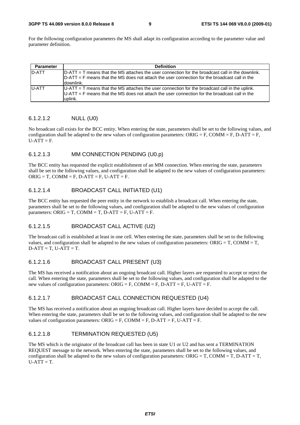#### **3GPP TS 44.069 version 8.0.0 Release 8 9 ETSI TS 144 069 V8.0.0 (2009-01)**

For the following configuration parameters the MS shall adapt its configuration according to the parameter value and parameter definition.

| <b>Parameter</b> | <b>Definition</b>                                                                                                                                                                                                   |
|------------------|---------------------------------------------------------------------------------------------------------------------------------------------------------------------------------------------------------------------|
| D-ATT            | $D-ATT = T$ means that the MS attaches the user connection for the broadcast call in the downlink.<br>$D-ATT = F$ means that the MS does not attach the user connection for the broadcast call in the<br>ldownlink. |
| <b>U-ATT</b>     | $U-ATT = T$ means that the MS attaches the user connection for the broadcast call in the uplink.<br>$U-ATT = F$ means that the MS does not attach the user connection for the broadcast call in the<br>uplink.      |

#### 6.1.2.1.2 NULL (U0)

No broadcast call exists for the BCC entity. When entering the state, parameters shall be set to the following values, and configuration shall be adapted to the new values of configuration parameters:  $ORIG = F$ ,  $COMM = F$ ,  $D-ATT = F$ ,  $U-ATT = F.$ 

#### 6.1.2.1.3 MM CONNECTION PENDING (U0.p)

The BCC entity has requested the explicit establishment of an MM connection. When entering the state, parameters shall be set to the following values, and configuration shall be adapted to the new values of configuration parameters:  $ORIG = T$ ,  $COMM = F$ ,  $D-ATT = F$ ,  $U-ATT = F$ .

#### 6.1.2.1.4 BROADCAST CALL INITIATED (U1)

The BCC entity has requested the peer entity in the network to establish a broadcast call. When entering the state, parameters shall be set to the following values, and configuration shall be adapted to the new values of configuration parameters: ORIG = T, COMM = T, D-ATT = F, U-ATT = F.

#### 6.1.2.1.5 BROADCAST CALL ACTIVE (U2)

The broadcast call is established at least in one cell. When entering the state, parameters shall be set to the following values, and configuration shall be adapted to the new values of configuration parameters: ORIG = T, COMM = T,  $D-ATT = T$ ,  $U-ATT = T$ .

#### 6.1.2.1.6 BROADCAST CALL PRESENT (U3)

The MS has received a notification about an ongoing broadcast call. Higher layers are requested to accept or reject the call. When entering the state, parameters shall be set to the following values, and configuration shall be adapted to the new values of configuration parameters:  $ORIG = F$ ,  $COMM = F$ ,  $D-ATT = F$ ,  $U-ATT = F$ .

#### 6.1.2.1.7 BROADCAST CALL CONNECTION REQUESTED (U4)

The MS has received a notification about an ongoing broadcast call. Higher layers have decided to accept the call. When entering the state, parameters shall be set to the following values, and configuration shall be adapted to the new values of configuration parameters:  $ORIG = F$ ,  $COMM = F$ ,  $D-ATT = F$ ,  $U-ATT = F$ .

#### 6.1.2.1.8 TERMINATION REQUESTED (U5)

The MS which is the originator of the broadcast call has been in state U1 or U2 and has sent a TERMINATION REQUEST message to the network. When entering the state, parameters shall be set to the following values, and configuration shall be adapted to the new values of configuration parameters:  $ORIG = T$ ,  $COMM = T$ ,  $D-ATT = T$ ,  $U-ATT = T.$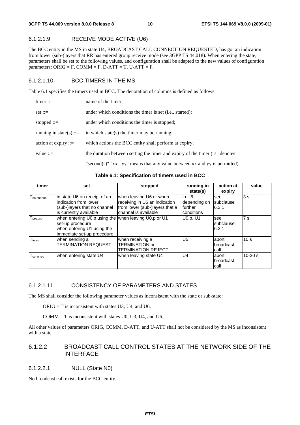### 6.1.2.1.9 RECEIVE MODE ACTIVE (U6)

The BCC entity in the MS in state U4, BROADCAST CALL CONNECTION REQUESTED, has got an indication from lower (sub-)layers that RR has entered group receive mode (see 3GPP TS 44.018). When entering the state, parameters shall be set to the following values, and configuration shall be adapted to the new values of configuration parameters: ORIG = F, COMM = F, D-ATT = T, U-ATT = F.

### 6.1.2.1.10 BCC TIMERS IN THE MS

Table 6.1 specifies the timers used in BCC. The denotation of columns is defined as follows:

| $timer ::=$             | name of the timer;                                                                  |
|-------------------------|-------------------------------------------------------------------------------------|
| $set ::=$               | under which conditions the timer is set ( <i>i.e.</i> , started);                   |
| stopped $ ::=$          | under which conditions the timer is stopped;                                        |
| running in state(s) ::= | in which state(s) the timer may be running;                                         |
| action at expiry $ ::=$ | which actions the BCC entity shall perform at expiry;                               |
| value $ ::=$            | the duration between setting the timer and expiry of the timer ("s" denotes         |
|                         | "second(s)" " $xx - yy$ " means that any value between $xx$ and $yy$ is permitted). |

**Table 6.1: Specification of timers used in BCC** 

| timer                          | set                                                                                                                                  | stopped                                                                                                            | running in<br>state(s)                           | action at<br>expiry         | value           |
|--------------------------------|--------------------------------------------------------------------------------------------------------------------------------------|--------------------------------------------------------------------------------------------------------------------|--------------------------------------------------|-----------------------------|-----------------|
| I no channel                   | in state U6 on receipt of an<br>indication from lower<br>(sub-)layers that no channel<br>is currently available                      | when leaving U6 or when<br>receiving in U6 an indication<br>from lower (sub-)layers that a<br>channel is available | in U6.<br>depending on<br>further<br>Iconditions | see<br>subclause<br>6.3.1   | 3s              |
| $\mathsf{T}_{\mathsf{MM-est}}$ | when entering U0.p using the when leaving U0.p or U1<br>set-up procedure<br>when entering U1 using the<br>immediate set-up procedure |                                                                                                                    | U0.p. U1                                         | see<br>subclause<br>6.2.1   | 7 <sub>s</sub>  |
| $T_{\text{term}}$              | when sending a<br><b>TERMINATION REQUEST</b>                                                                                         | when receiving a<br><b>TERMINATION or</b><br>TERMINATION REJECT                                                    | U <sub>5</sub>                                   | labort<br>broadcast<br>call | 10 <sub>s</sub> |
| $T_{\text{conn, reg}}$         | when entering state U4                                                                                                               | when leaving state U4                                                                                              | U4                                               | labort<br>broadcast<br>call | $10-30 s$       |

### 6.1.2.1.11 CONSISTENCY OF PARAMETERS AND STATES

The MS shall consider the following parameter values as inconsistent with the state or sub-state:

 $ORIG = T$  is inconsistent with states U3, U4, and U6.

 $COMM = T$  is inconsistent with states U0, U3, U4, and U6.

All other values of parameters ORIG, COMM, D-ATT, and U-ATT shall not be considered by the MS as inconsistent with a state.

### 6.1.2.2 BROADCAST CALL CONTROL STATES AT THE NETWORK SIDE OF THE INTERFACE

### 6.1.2.2.1 NULL (State N0)

No broadcast call exists for the BCC entity.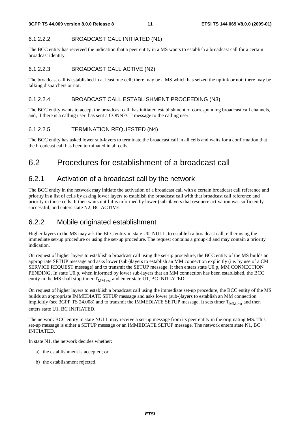### 6.1.2.2.2 BROADCAST CALL INITIATED (N1)

The BCC entity has received the indication that a peer entity in a MS wants to establish a broadcast call for a certain broadcast identity.

#### 6.1.2.2.3 BROADCAST CALL ACTIVE (N2)

The broadcast call is established in at least one cell; there may be a MS which has seized the uplink or not; there may be talking dispatchers or not.

#### 6.1.2.2.4 BROADCAST CALL ESTABLISHMENT PROCEEDING (N3)

The BCC entity wants to accept the broadcast call, has initiated establishment of corresponding broadcast call channels, and, if there is a calling user. has sent a CONNECT message to the calling user.

### 6.1.2.2.5 TERMINATION REQUESTED (N4)

The BCC entity has asked lower sub-layers to terminate the broadcast call in all cells and waits for a confirmation that the broadcast call has been terminated in all cells.

# 6.2 Procedures for establishment of a broadcast call

### 6.2.1 Activation of a broadcast call by the network

The BCC entity in the network may initiate the activation of a broadcast call with a certain broadcast call reference and priority in a list of cells by asking lower layers to establish the broadcast call with that broadcast call reference and priority in those cells. It then waits until it is informed by lower (sub-)layers that resource activation was sufficiently successful, and enters state N2, BC ACTIVE.

### 6.2.2 Mobile originated establishment

Higher layers in the MS may ask the BCC entity in state U0, NULL, to establish a broadcast call, either using the immediate set-up procedure or using the set-up procedure. The request contains a group-id and may contain a priority indication.

On request of higher layers to establish a broadcast call using the set-up procedure, the BCC entity of the MS builds an appropriate SETUP message and asks lower (sub-)layers to establish an MM connection explicitly (i.e. by use of a CM SERVICE REQUEST message) and to transmit the SETUP message. It then enters state U0.p, MM CONNECTION PENDING. In state U0.p, when informed by lower sub-layers that an MM connection has been established, the BCC entity in the MS shall stop timer  $T_{MM-est}$  and enter state U1, BC INITIATED.

On request of higher layers to establish a broadcast call using the immediate set-up procedure, the BCC entity of the MS builds an appropriate IMMEDIATE SETUP message and asks lower (sub-)layers to establish an MM connection implicitly (see 3GPP TS 24.008) and to transmit the IMMEDIATE SETUP message. It sets timer  $T<sub>MM-est</sub>$  and then enters state U1, BC INITIATED.

The network BCC entity in state NULL may receive a set-up message from its peer entity in the originating MS. This set-up message is either a SETUP message or an IMMEDIATE SETUP message. The network enters state N1, BC INITIATED.

In state N1, the network decides whether:

- a) the establishment is accepted; or
- b) the establishment rejected.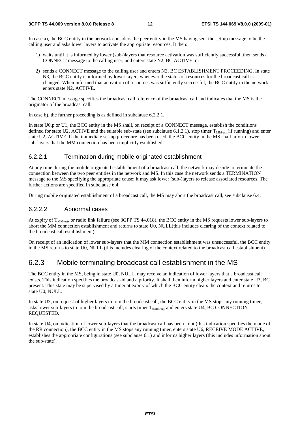In case a), the BCC entity in the network considers the peer entity in the MS having sent the set-up message to be the calling user and asks lower layers to activate the appropriate resources. It then:

- 1) waits until it is informed by lower (sub-)layers that resource activation was sufficiently successful, then sends a CONNECT message to the calling user, and enters state N2, BC ACTIVE; or
- 2) sends a CONNECT message to the calling user and enters N3, BC ESTABLISHMENT PROCEEDING. In state N3, the BCC entity is informed by lower layers whenever the status of resources for the broadcast call is changed. When informed that activation of resources was sufficiently successful, the BCC entity in the network enters state N2, ACTIVE.

The CONNECT message specifies the broadcast call reference of the broadcast call and indicates that the MS is the originator of the broadcast call.

In case b), the further proceeding is as defined in subclause 6.2.2.1.

In state U0.p or U1, the BCC entity in the MS shall, on receipt of a CONNECT message, establish the conditions defined for state U2, ACTIVE and the suitable sub-state (see subclause 6.1.2.1), stop timer  $T_{\text{MM-est}}$  (if running) and enter state U2, ACTIVE. If the immediate set-up procedure has been used, the BCC entity in the MS shall inform lower sub-layers that the MM connection has been implicitly established.

#### 6.2.2.1 Termination during mobile originated establishment

At any time during the mobile originated establishment of a broadcast call, the network may decide to terminate the connection between the two peer entities in the network and MS. In this case the network sends a TERMINATION message to the MS specifying the appropriate cause; it may ask lower (sub-)layers to release associated resources. The further actions are specified in subclause 6.4.

During mobile originated establishment of a broadcast call, the MS may abort the broadcast call, see subclause 6.4.

### 6.2.2.2 Abnormal cases

At expiry of  $T<sub>MM-est</sub>$ , or radio link failure (see 3GPP TS 44.018), the BCC entity in the MS requests lower sub-layers to abort the MM connection establishment and returns to state U0, NULL(this includes clearing of the context related to the broadcast call establishment).

On receipt of an indication of lower sub-layers that the MM connection establishment was unsuccessful, the BCC entity in the MS returns to state U0, NULL (this includes clearing of the context related to the broadcast call establishment).

### 6.2.3 Mobile terminating broadcast call establishment in the MS

The BCC entity in the MS, being in state U0, NULL, may receive an indication of lower layers that a broadcast call exists. This indication specifies the broadcast-id and a priority. It shall then inform higher layers and enter state U3, BC present. This state may be supervised by a timer at expiry of which the BCC entity clears the context and returns to state U0, NULL.

In state U3, on request of higher layers to join the broadcast call, the BCC entity in the MS stops any running timer, asks lower sub-layers to join the broadcast call, starts timer  $T_{\text{conn real}}$ , and enters state U4, BC CONNECTION REQUESTED.

In state U4, on indication of lower sub-layers that the broadcast call has been joint (this indication specifies the mode of the RR connection), the BCC entity in the MS stops any running timer, enters state U6, RECEIVE MODE ACTIVE, establishes the appropriate configurations (see subclause 6.1) and informs higher layers (this includes information about the sub-state).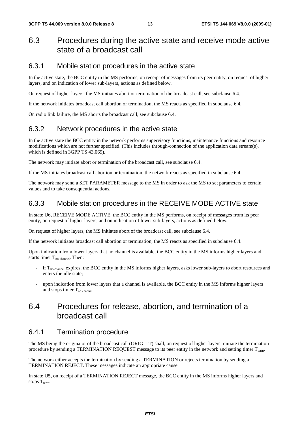# 6.3 Procedures during the active state and receive mode active state of a broadcast call

### 6.3.1 Mobile station procedures in the active state

In the active state, the BCC entity in the MS performs, on receipt of messages from its peer entity, on request of higher layers, and on indication of lower sub-layers, actions as defined below.

On request of higher layers, the MS initiates abort or termination of the broadcast call, see subclause 6.4.

If the network initiates broadcast call abortion or termination, the MS reacts as specified in subclause 6.4.

On radio link failure, the MS aborts the broadcast call, see subclause 6.4.

### 6.3.2 Network procedures in the active state

In the active state the BCC entity in the network performs supervisory functions, maintenance functions and resource modifications which are not further specified. (This includes through-connection of the application data stream(s), which is defined in 3GPP TS 43.069).

The network may initiate abort or termination of the broadcast call, see subclause 6.4.

If the MS initiates broadcast call abortion or termination, the network reacts as specified in subclause 6.4.

The network may send a SET PARAMETER message to the MS in order to ask the MS to set parameters to certain values and to take consequential actions.

### 6.3.3 Mobile station procedures in the RECEIVE MODE ACTIVE state

In state U6, RECEIVE MODE ACTIVE, the BCC entity in the MS performs, on receipt of messages from its peer entity, on request of higher layers, and on indication of lower sub-layers, actions as defined below.

On request of higher layers, the MS initiates abort of the broadcast call, see subclause 6.4.

If the network initiates broadcast call abortion or termination, the MS reacts as specified in subclause 6.4.

Upon indication from lower layers that no channel is available, the BCC entity in the MS informs higher layers and starts timer  $T_{\text{no channel}}$ . Then:

- if  $T_{no\text{ channel}}$  expires, the BCC entity in the MS informs higher layers, asks lower sub-layers to abort resources and enters the idle state;
- upon indication from lower layers that a channel is available, the BCC entity in the MS informs higher layers and stops timer  $T_{\text{no channel}}$ .

# 6.4 Procedures for release, abortion, and termination of a broadcast call

### 6.4.1 Termination procedure

The MS being the originator of the broadcast call (ORIG = T) shall, on request of higher layers, initiate the termination procedure by sending a TERMINATION REQUEST message to its peer entity in the network and setting timer T<sub>term</sub>.

The network either accepts the termination by sending a TERMINATION or rejects termination by sending a TERMINATION REJECT. These messages indicate an appropriate cause.

In state U5, on receipt of a TERMINATION REJECT message, the BCC entity in the MS informs higher layers and stops  $T_{term}$ .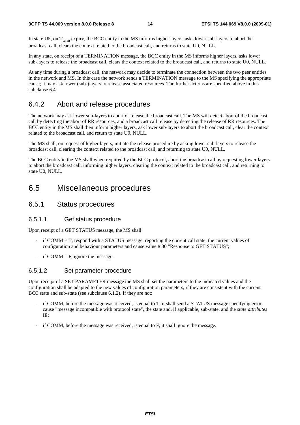In state U5, on  $T_{term}$  expiry, the BCC entity in the MS informs higher layers, asks lower sub-layers to abort the broadcast call, clears the context related to the broadcast call, and returns to state U0, NULL.

In any state, on receipt of a TERMINATION message, the BCC entity in the MS informs higher layers, asks lower sub-layers to release the broadcast call, clears the context related to the broadcast call, and returns to state U0, NULL.

At any time during a broadcast call, the network may decide to terminate the connection between the two peer entities in the network and MS. In this case the network sends a TERMINATION message to the MS specifying the appropriate cause; it may ask lower (sub-)layers to release associated resources. The further actions are specified above in this subclause 6.4.

### 6.4.2 Abort and release procedures

The network may ask lower sub-layers to abort or release the broadcast call. The MS will detect abort of the broadcast call by detecting the abort of RR resources, and a broadcast call release by detecting the release of RR resources. The BCC entity in the MS shall then inform higher layers, ask lower sub-layers to abort the broadcast call, clear the context related to the broadcast call, and return to state U0, NULL.

The MS shall, on request of higher layers, initiate the release procedure by asking lower sub-layers to release the broadcast call, clearing the context related to the broadcast call, and returning to state U0, NULL.

The BCC entity in the MS shall when required by the BCC protocol, abort the broadcast call by requesting lower layers to abort the broadcast call, informing higher layers, clearing the context related to the broadcast call, and returning to state U0, NULL.

### 6.5 Miscellaneous procedures

### 6.5.1 Status procedures

#### 6.5.1.1 Get status procedure

Upon receipt of a GET STATUS message, the MS shall:

- $\text{if } \text{COMM} = \text{T}$ , respond with a STATUS message, reporting the current call state, the current values of configuration and behaviour parameters and cause value # 30 "Response to GET STATUS";
- if COMM  $=$  F, ignore the message.

#### 6.5.1.2 Set parameter procedure

Upon receipt of a SET PARAMETER message the MS shall set the parameters to the indicated values and the configuration shall be adapted to the new values of configuration parameters, if they are consistent with the current BCC state and sub-state (see subclause 6.1.2). If they are not:

- if COMM, before the message was received, is equal to T, it shall send a STATUS message specifying error cause "message incompatible with protocol state", the state and, if applicable, sub-state, and the *state attributes* IE;
- if COMM, before the message was received, is equal to F, it shall ignore the message.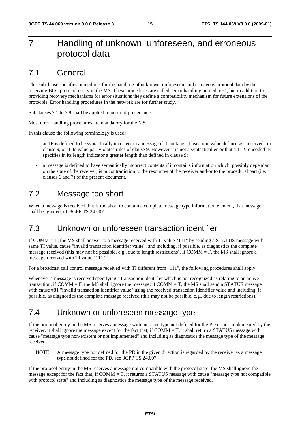# 7 Handling of unknown, unforeseen, and erroneous protocol data

### 7.1 General

This subclause specifies procedures for the handling of unknown, unforeseen, and erroneous protocol data by the receiving BCC protocol entity in the MS. These procedures are called "error handling procedures", but in addition to providing recovery mechanisms for error situations they define a compatibility mechanism for future extensions of the protocols. Error handling procedures in the network are for further study.

Subclauses 7.1 to 7.8 shall be applied in order of precedence.

Most error handling procedures are mandatory for the MS.

In this clause the following terminology is used:

- an IE is defined to be syntactically incorrect in a message if it contains at least one value defined as "reserved" in clause 9, or if its value part violates rules of clause 9. However it is not a syntactical error that a TLV encoded IE specifies in its length indicator a greater length than defined in clause 9;
- a message is defined to have semantically incorrect contents if it contains information which, possibly dependant on the state of the receiver, is in contradiction to the resources of the receiver and/or to the procedural part (i.e. clauses 6 and 7) of the present document.

# 7.2 Message too short

When a message is received that is too short to contain a complete message type information element, that message shall be ignored, cf. 3GPP TS 24.007.

# 7.3 Unknown or unforeseen transaction identifier

If COMM = T, the MS shall answer to a message received with TI value "111" by sending a STATUS message with same TI value, cause "invalid transaction identifier value", and including, if possible, as diagnostics the complete message received (this may not be possible, e.g., due to length restrictions). If COMM  $=$  F, the MS shall ignore a message received with TI value "111".

For a broadcast call control message received with TI different from "111", the following procedures shall apply.

Whenever a message is received specifying a transaction identifier which is not recognized as relating to an active transaction, if  $COMM = F$ , the MS shall ignore the message; if  $COMM = T$ , the MS shall send a STATUS message with cause #81 "invalid transaction identifier value" using the received transaction identifier value and including, if possible, as diagnostics the complete message received (this may not be possible, e.g., due to length restrictions).

# 7.4 Unknown or unforeseen message type

If the protocol entity in the MS receives a message with message type not defined for the PD or not implemented by the receiver, it shall ignore the message except for the fact that, if  $COMM = T$ , it shall return a STATUS message with cause "message type non-existent or not implemented" and including as diagnostics the message type of the message received.

NOTE: A message type not defined for the PD in the given direction is regarded by the receiver as a message type not defined for the PD, see 3GPP TS 24.007.

If the protocol entity in the MS receives a message not compatible with the protocol state, the MS shall ignore the message except for the fact that, if  $COMM = T$ , it returns a STATUS message with cause "message type not compatible with protocol state" and including as diagnostics the message type of the message received.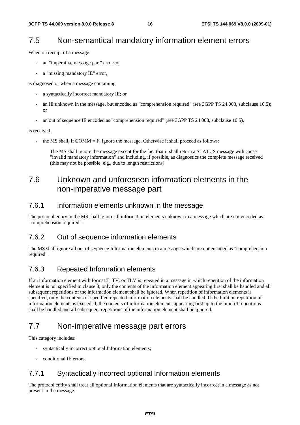# 7.5 Non-semantical mandatory information element errors

When on receipt of a message:

- an "imperative message part" error; or
- a "missing mandatory IE" error,

is diagnosed or when a message containing

- a syntactically incorrect mandatory IE; or
- an IE unknown in the message, but encoded as "comprehension required" (see 3GPP TS 24.008, subclause 10.5); or
- an out of sequence IE encoded as "comprehension required" (see 3GPP TS 24.008, subclause 10.5),

is received,

the MS shall, if  $COMM = F$ , ignore the message. Otherwise it shall proceed as follows:

 The MS shall ignore the message except for the fact that it shall return a STATUS message with cause "invalid mandatory information" and including, if possible, as diagnostics the complete message received (this may not be possible, e.g., due to length restrictions).

# 7.6 Unknown and unforeseen information elements in the non-imperative message part

### 7.6.1 Information elements unknown in the message

The protocol entity in the MS shall ignore all information elements unknown in a message which are not encoded as "comprehension required".

### 7.6.2 Out of sequence information elements

The MS shall ignore all out of sequence Information elements in a message which are not encoded as "comprehension required".

### 7.6.3 Repeated Information elements

If an information element with format T, TV, or TLV is repeated in a message in which repetition of the information element is not specified in clause 8, only the contents of the information element appearing first shall be handled and all subsequent repetitions of the information element shall be ignored. When repetition of information elements is specified, only the contents of specified repeated information elements shall be handled. If the limit on repetition of information elements is exceeded, the contents of information elements appearing first up to the limit of repetitions shall be handled and all subsequent repetitions of the information element shall be ignored.

# 7.7 Non-imperative message part errors

This category includes:

- syntactically incorrect optional Information elements;
- conditional IE errors.

### 7.7.1 Syntactically incorrect optional Information elements

The protocol entity shall treat all optional Information elements that are syntactically incorrect in a message as not present in the message.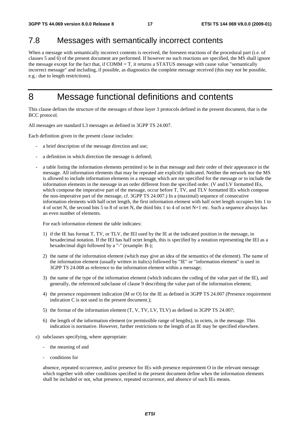# 7.8 Messages with semantically incorrect contents

When a message with semantically incorrect contents is received, the foreseen reactions of the procedural part (i.e. of clauses 5 and 6) of the present document are performed. If however no such reactions are specified, the MS shall ignore the message except for the fact that, if COMM = T, it returns a STATUS message with cause value "semantically incorrect message" and including, if possible, as diagnostics the complete message received (this may not be possible, e.g.: due to length restrictions).

# 8 Message functional definitions and contents

This clause defines the structure of the messages of those layer 3 protocols defined in the present document, that is the BCC protocol.

All messages are standard L3 messages as defined in 3GPP TS 24.007.

Each definition given in the present clause includes:

- a brief description of the message direction and use;
- a definition in which direction the message is defined;
- a table listing the information elements permitted to be in that message and their order of their appearance in the message. All information elements that may be repeated are explicitly indicated. Neither the network nor the MS is allowed to include information elements in a message which are not specified for the message or to include the information elements in the message in an order different from the specified order. (V and LV formatted IEs, which compose the imperative part of the message, occur before T, TV, and TLV formatted IEs which compose the non-imperative part of the message, cf. 3GPP TS 24.007.) In a (maximal) sequence of consecutive information elements with half octet length, the first information element with half octet length occupies bits 1 to 4 of octet N, the second bits 5 to 8 of octet N, the third bits 1 to 4 of octet N+1 etc. Such a sequence always has an even number of elements.

For each information element the table indicates:

- 1) if the IE has format T, TV, or TLV, the IEI used by the IE at the indicated position in the message, in hexadecimal notation. If the IEI has half octet length, this is specified by a notation representing the IEI as a hexadecimal digit followed by a "-" (example: B-);
- 2) the name of the information element (which may give an idea of the semantics of the element). The name of the information element (usually written in italics) followed by "IE" or "information element" is used in 3GPP TS 24.008 as reference to the information element within a message;
- 3) the name of the type of the information element (which indicates the coding of the value part of the IE), and generally, the referenced subclause of clause 9 describing the value part of the information element;
- 4) the presence requirement indication (M or O) for the IE as defined in 3GPP TS 24.007 (Presence requirement indication C is not used in the present document.);
- 5) the format of the information element (T, V, TV, LV, TLV) as defined in 3GPP TS 24.007;
- 6) the length of the information element (or permissible range of lengths), in octets, in the message. This indication is normative. However, further restrictions to the length of an IE may be specified elsewhere.
- c) subclauses specifying, where appropriate:
	- the meaning of and
	- conditions for

 absence, repeated occurrence, and/or presence for IEs with presence requirement O in the relevant message which together with other conditions specified in the present document define when the information elements shall be included or not, what presence, repeated occurrence, and absence of such IEs means.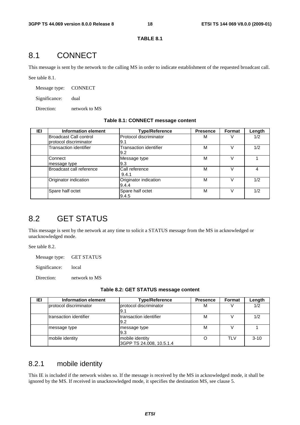#### **TABLE 8.1**

# 8.1 CONNECT

This message is sent by the network to the calling MS in order to indicate establishment of the requested broadcast call.

See table 8.1.

Message type: CONNECT

Significance: dual

Direction: network to MS

#### **Table 8.1: CONNECT message content**

| IEI | Information element                              | <b>Type/Reference</b>                | <b>Presence</b> | <b>Format</b> | Length |
|-----|--------------------------------------------------|--------------------------------------|-----------------|---------------|--------|
|     | Broadcast Call control<br>protocol discriminator | Protocol discriminator<br>9.1        | М               |               | 1/2    |
|     | <b>Transaction identifier</b>                    | <b>Transaction identifier</b><br>9.2 | M               |               | 1/2    |
|     | Connect<br>message type                          | Message type<br>9.3                  | M               |               |        |
|     | Broadcast call reference                         | Call reference<br>9.4.1              | м               |               |        |
|     | Originator indication                            | Originator indication<br>9.4.4       | М               |               | 1/2    |
|     | Spare half octet                                 | Spare half octet<br>9.4.5            | M               |               | 1/2    |

# 8.2 GET STATUS

This message is sent by the network at any time to solicit a STATUS message from the MS in acknowledged or unacknowledged mode.

See table 8.2.

Message type: GET STATUS

Significance: local

Direction: network to MS

| IEI | Information element    | <b>Type/Reference</b>                       | <b>Presence</b> | Format     | Length   |
|-----|------------------------|---------------------------------------------|-----------------|------------|----------|
|     | protocol discriminator | protocol discriminator<br>l9.1              | м               |            | 1/2      |
|     | transaction identifier | transaction identifier<br>l9.2              | M               |            | 1/2      |
|     | message type           | message type<br>l9.3                        | М               |            |          |
|     | mobile identity        | mobile identity<br>3GPP TS 24.008, 10.5.1.4 |                 | <b>TLV</b> | $3 - 10$ |

### 8.2.1 mobile identity

This IE is included if the network wishes so. If the message is received by the MS in acknowledged mode, it shall be ignored by the MS. If received in unacknowledged mode, it specifies the destination MS, see clause 5.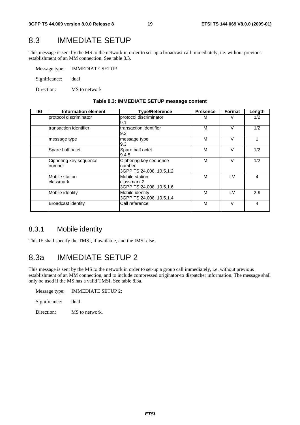# 8.3 IMMEDIATE SETUP

This message is sent by the MS to the network in order to set-up a broadcast call immediately, i.e. without previous establishment of an MM connection. See table 8.3.

| Message type: | <b>IMMEDIATE SETUP</b> |
|---------------|------------------------|
| Significance: | dual                   |

Direction: MS to network

| IEI | Information element              | <b>Type/Reference</b>                                        | <b>Presence</b> | Format | Length  |
|-----|----------------------------------|--------------------------------------------------------------|-----------------|--------|---------|
|     | protocol discriminator           | protocol discriminator<br>9.1                                | М               |        | 1/2     |
|     | Itransaction identifier          | transaction identifier<br>9.2                                | М               | v      | 1/2     |
|     | message type                     | message type<br>9.3                                          | М               | V      |         |
|     | Spare half octet                 | Spare half octet<br>9.4.5                                    | M               | V      | 1/2     |
|     | Ciphering key sequence<br>number | Ciphering key sequence<br>number<br>3GPP TS 24.008, 10.5.1.2 | M               | V      | 1/2     |
|     | Mobile station<br>classmark      | Mobile station<br>classmark 2<br>3GPP TS 24.008, 10.5.1.6    | м               | LV     | 4       |
|     | Mobile identity                  | Mobile identity<br>3GPP TS 24.008, 10.5.1.4                  | М               | LV     | $2 - 9$ |
|     | Broadcast identity               | Call reference                                               | M               | $\vee$ | 4       |

#### **Table 8.3: IMMEDIATE SETUP message content**

### 8.3.1 Mobile identity

This IE shall specify the TMSI, if available, and the IMSI else.

# 8.3a IMMEDIATE SETUP 2

This message is sent by the MS to the network in order to set-up a group call immediately, i.e. without previous establishment of an MM connection, and to include compressed originator-to dispatcher information. The message shall only be used if the MS has a valid TMSI. See table 8.3a.

| Message type: | IMMEDIATE SETUP 2: |
|---------------|--------------------|
| Significance: | dual               |
| Direction:    | MS to network.     |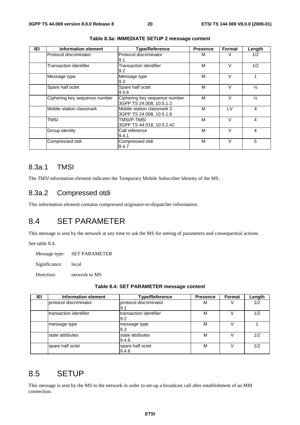| IEI | <b>Information element</b>    | <b>Type/Reference</b>                                     | <b>Presence</b> | Format | Length         |
|-----|-------------------------------|-----------------------------------------------------------|-----------------|--------|----------------|
|     | Protocol discriminator        | Protocol discriminator<br>9.1                             | м               | V      | 1/2            |
|     | Transaction identifier        | Transaction identifier<br>9.2                             | М               | v      | 1/2            |
|     | Message type                  | Message type<br>9.3                                       | М               | V      |                |
|     | Spare half octet              | Spare half octet<br>9.4.6                                 | M               | V      | $\frac{1}{2}$  |
|     | Ciphering key sequence number | Ciphering key sequence number<br>3GPP TS 24.008, 10.5.1.2 | м               | V      | $\frac{1}{2}$  |
|     | Mobile station classmark      | Mobile station classmark 2<br>3GPP TS 24.008, 10.5.1.6    | M               | LV     | 4              |
|     | TMSI                          | TMSI/P-TMSI<br>3GPP TS 44.018, 10.5.2.42                  | М               | $\vee$ | 4              |
|     | Group identity                | Call reference<br>9.4.1                                   | M               | $\vee$ | $\overline{4}$ |
|     | Compressed otdi               | Compressed otdi<br>9.4.7                                  | М               | $\vee$ | 5              |

**Table 8.3a: IMMEDIATE SETUP 2 message content** 

### 8.3a.1 TMSI

The *TMSI* information element indicates the Temporary Mobile Subscriber Identity of the MS.

### 8.3a.2 Compressed otdi

This information element contains compressed originator-to-dispatcher information.

# 8.4 SET PARAMETER

This message is sent by the network at any time to ask the MS for setting of parameters and consequential actions.

See table 8.4.

Message type: SET PARAMETER

Significance: local

Direction: network to MS

|  | Table 8.4: SET PARAMETER message content |
|--|------------------------------------------|
|--|------------------------------------------|

| IEI | <b>Information element</b> | <b>Type/Reference</b>         | <b>Presence</b> | Format | Length |
|-----|----------------------------|-------------------------------|-----------------|--------|--------|
|     | protocol discriminator     | protocol discriminator<br>9.1 | м               |        | 1/2    |
|     | Itransaction identifier    | transaction identifier<br>9.2 | М               |        | 1/2    |
|     | message type               | message type<br>19.3          | м               |        |        |
|     | state attributes           | state attributes<br>9.4.6     | М               |        | 1/2    |
|     | spare half octet           | spare half octet<br>9.4.6     | М               |        | 1/2    |

# 8.5 SETUP

This message is sent by the MS to the network in order to set-up a broadcast call after establishment of an MM connection.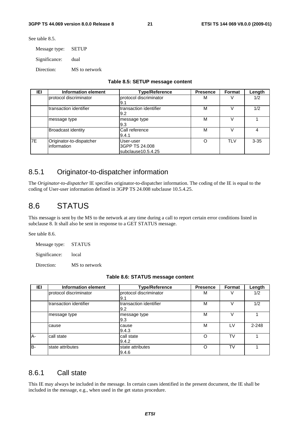See table 8.5.

Message type: SETUP

Significance: dual

Direction: MS to network

|  |  |  | Table 8.5: SETUP message content |  |
|--|--|--|----------------------------------|--|
|--|--|--|----------------------------------|--|

| IEI       | Information element                     | <b>Type/Reference</b>                             | <b>Presence</b> | <b>Format</b> | Length   |
|-----------|-----------------------------------------|---------------------------------------------------|-----------------|---------------|----------|
|           | Iprotocol discriminator                 | protocol discriminator<br>I9.1                    | М               |               | 1/2      |
|           | transaction identifier                  | Itransaction identifier<br>9.2                    | М               |               | 1/2      |
|           | message type                            | message type<br>l9.3                              | М               |               |          |
|           | <b>Broadcast identity</b>               | Call reference<br>9.4.1                           | M               |               | 4        |
| <b>7E</b> | Originator-to-dispatcher<br>information | User-user<br>3GPP TS 24.008<br>subclause10.5.4.25 | Ω               | <b>TLV</b>    | $3 - 35$ |

### 8.5.1 Originator-to-dispatcher information

The *Originator-to-dispatcher* IE specifies originator-to-dispatcher information. The coding of the IE is equal to the coding of User-user information defined in 3GPP TS 24.008 subclause 10.5.4.25.

# 8.6 STATUS

This message is sent by the MS to the network at any time during a call to report certain error conditions listed in subclause 8. It shall also be sent in response to a GET STATUS message.

See table 8.6.

Message type: STATUS

Significance: local

Direction: MS to network

| IEI | Information element    | <b>Type/Reference</b>          | <b>Presence</b> | Format    | Length    |
|-----|------------------------|--------------------------------|-----------------|-----------|-----------|
|     | protocol discriminator | protocol discriminator<br>l9.1 | M               |           | 1/2       |
|     | transaction identifier | transaction identifier<br>9.2  | M               |           | 1/2       |
|     | message type           | message type<br>9.3            | M               |           |           |
|     | cause                  | cause<br>9.4.3                 | М               | I V       | $2 - 248$ |
| A-  | call state             | call state<br>9.4.2            | Ω               | <b>TV</b> |           |
| B-  | state attributes       | state attributes<br>9.4.6      | Ω               | TV        |           |

### 8.6.1 Call state

This IE may always be included in the message. In certain cases identified in the present document, the IE shall be included in the message, e.g., when used in the get status procedure.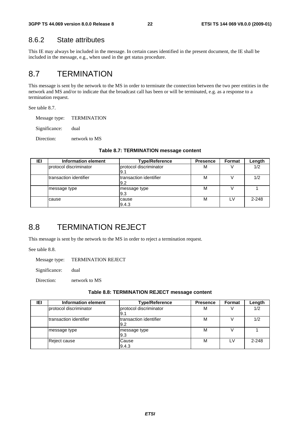### 8.6.2 State attributes

This IE may always be included in the message. In certain cases identified in the present document, the IE shall be included in the message, e.g., when used in the get status procedure.

# 8.7 TERMINATION

This message is sent by the network to the MS in order to terminate the connection between the two peer entities in the network and MS and/or to indicate that the broadcast call has been or will be terminated, e.g. as a response to a termination request.

See table 8.7.

Message type: TERMINATION

Significance: dual

Direction: network to MS

| IEI | Information element     | <b>Type/Reference</b>          | <b>Presence</b> | Format | Length    |
|-----|-------------------------|--------------------------------|-----------------|--------|-----------|
|     | Iprotocol discriminator | protocol discriminator<br>I9.1 | М               |        | 1/2       |
|     | transaction identifier  | Itransaction identifier<br>9.2 | M               |        | 1/2       |
|     | message type            | message type<br>l9.3           | M               |        |           |
|     | cause                   | cause<br>9.4.3                 | M               |        | $2 - 248$ |

#### **Table 8.7: TERMINATION message content**

## 8.8 TERMINATION REJECT

This message is sent by the network to the MS in order to reject a termination request.

See table 8.8.

Message type: TERMINATION REJECT

Significance: dual

Direction: network to MS

#### **Table 8.8: TERMINATION REJECT message content**

| IEI | Information element     | <b>Type/Reference</b>          | <b>Presence</b> | Format | Length  |
|-----|-------------------------|--------------------------------|-----------------|--------|---------|
|     | Iprotocol discriminator | protocol discriminator<br>I9.1 | M               |        | 1/2     |
|     | transaction identifier  | Itransaction identifier<br>9.2 | м               |        | 1/2     |
|     | message type            | message type<br>l9.3           | М               |        |         |
|     | Reject cause            | Cause<br>9.4.3                 | М               | LV     | $2-248$ |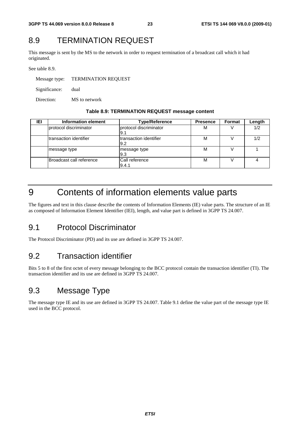# 8.9 TERMINATION REQUEST

This message is sent by the MS to the network in order to request termination of a broadcast call which it had originated.

See table 8.9.

Message type: TERMINATION REQUEST Significance: dual Direction: MS to network

#### **Table 8.9: TERMINATION REQUEST message content**

| IEI | Information element      | <b>Type/Reference</b>          | <b>Presence</b> | Format | Length |
|-----|--------------------------|--------------------------------|-----------------|--------|--------|
|     | Iprotocol discriminator  | protocol discriminator<br>I9.1 | м               |        | 1/2    |
|     | Itransaction identifier  | Itransaction identifier<br>9.2 | M               |        | 1/2    |
|     | message type             | message type<br>19.3           | М               |        |        |
|     | Broadcast call reference | Call reference<br>9.4.1        | М               |        |        |

# 9 Contents of information elements value parts

The figures and text in this clause describe the contents of Information Elements (IE) value parts. The structure of an IE as composed of Information Element Identifier (IEI), length, and value part is defined in 3GPP TS 24.007.

# 9.1 Protocol Discriminator

The Protocol Discriminator (PD) and its use are defined in 3GPP TS 24.007.

# 9.2 Transaction identifier

Bits 5 to 8 of the first octet of every message belonging to the BCC protocol contain the transaction identifier (TI). The transaction identifier and its use are defined in 3GPP TS 24.007.

# 9.3 Message Type

The message type IE and its use are defined in 3GPP TS 24.007. Table 9.1 define the value part of the message type IE used in the BCC protocol.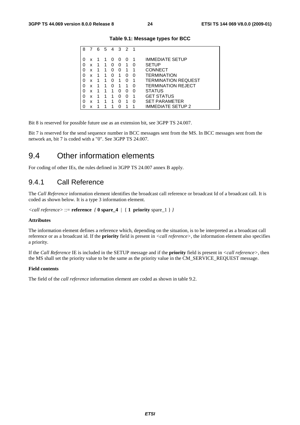| 8 |   | 6 | 5 | 4        | 3        | $\overline{2}$ | 1 |                           |
|---|---|---|---|----------|----------|----------------|---|---------------------------|
|   |   |   |   |          |          |                |   |                           |
|   |   |   |   |          |          |                |   |                           |
| 0 | x |   |   | $\Omega$ | $\left($ | $\Omega$       |   | <b>IMMEDIATE SETUP</b>    |
| 0 | x | 1 | 1 | O        | O        | 1              | 0 | <b>SETUP</b>              |
| 0 | x | 1 | 1 | O        | 0        | 1              | 1 | <b>CONNECT</b>            |
| 0 | x | 1 | 1 | O        | 1        | O              | O | <b>TERMINATION</b>        |
| 0 | x | 1 | 1 | O        | 1        | O              | 1 | TERMINATION REQUEST       |
| 0 | x |   | 1 | O        |          | 1              | O | <b>TERMINATION REJECT</b> |
| 0 | x | 1 | 1 | 1        | O        | O              | O | <b>STATUS</b>             |
| 0 | x | 1 |   | 1        | O        | O              | 1 | <b>GET STATUS</b>         |
| 0 | x | 1 | 1 | 1        | O        | 1              | O | <b>SET PARAMETER</b>      |
| O | x |   |   |          |          |                |   | IMMEDIATE SETUP 2         |

**Table 9.1: Message types for BCC** 

Bit 8 is reserved for possible future use as an extension bit, see 3GPP TS 24.007.

Bit 7 is reserved for the send sequence number in BCC messages sent from the MS. In BCC messages sent from the network an, bit 7 is coded with a "0". See 3GPP TS 24.007.

### 9.4 Other information elements

For coding of other IEs, the rules defined in 3GPP TS 24.007 annex B apply.

### 9.4.1 Call Reference

The *Call Reference* information element identifies the broadcast call reference or broadcast Id of a broadcast call. It is coded as shown below. It is a type 3 information element.

```
<call reference> ::= reference { 0 spare_4 | { 1 priority spare_1 } }
```
#### **Attributes**

The information element defines a reference which, depending on the situation, is to be interpreted as a broadcast call reference or as a broadcast id. If the **priority** field is present in *<call reference>*, the information element also specifies a priority.

If the *Call Reference* IE is included in the SETUP message and if the **priority** field is present in *<call reference>*, then the MS shall set the priority value to be the same as the priority value in the CM\_SERVICE\_REQUEST message.

#### **Field contents**

The field of the *call reference* information element are coded as shown in table 9.2.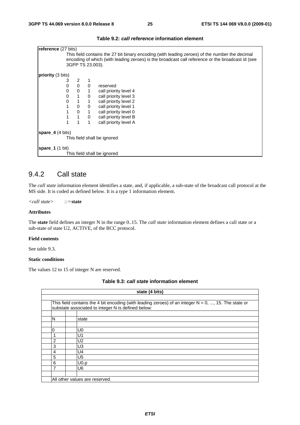| reference (27 bits)       |                                                                                                  |                |              |                             |  |  |  |  |  |  |
|---------------------------|--------------------------------------------------------------------------------------------------|----------------|--------------|-----------------------------|--|--|--|--|--|--|
|                           | This field contains the 27 bit binary encoding (with leading zeroes) of the number the decimal   |                |              |                             |  |  |  |  |  |  |
|                           | encoding of which (with leading zeroes) is the broadcast call reference or the broadcast id (see |                |              |                             |  |  |  |  |  |  |
|                           |                                                                                                  |                |              |                             |  |  |  |  |  |  |
|                           | 3GPP TS 23.003).                                                                                 |                |              |                             |  |  |  |  |  |  |
|                           |                                                                                                  |                |              |                             |  |  |  |  |  |  |
| <b>priority</b> (3 bits)  |                                                                                                  |                |              |                             |  |  |  |  |  |  |
|                           | 3                                                                                                | 2              |              |                             |  |  |  |  |  |  |
|                           | 0                                                                                                | $\Omega$       | $\Omega$     | reserved                    |  |  |  |  |  |  |
|                           |                                                                                                  |                |              |                             |  |  |  |  |  |  |
|                           | 0                                                                                                | $\mathbf 0$    | $\mathbf{1}$ | call priority level 4       |  |  |  |  |  |  |
|                           | 0                                                                                                | $\overline{1}$ | 0            | call priority level 3       |  |  |  |  |  |  |
|                           | 0                                                                                                | $\mathbf{1}$   | 1            | call priority level 2       |  |  |  |  |  |  |
|                           |                                                                                                  | $\mathbf{0}$   | 0            | call priority level 1       |  |  |  |  |  |  |
|                           | 1                                                                                                | $\mathbf 0$    | $\mathbf{1}$ | call priority level 0       |  |  |  |  |  |  |
|                           |                                                                                                  |                |              |                             |  |  |  |  |  |  |
|                           | 1                                                                                                | $\overline{1}$ | 0            | call priority level B       |  |  |  |  |  |  |
|                           |                                                                                                  |                | 1            | call priority level A       |  |  |  |  |  |  |
| spare $4(4 \text{ bits})$ |                                                                                                  |                |              |                             |  |  |  |  |  |  |
|                           |                                                                                                  |                |              |                             |  |  |  |  |  |  |
|                           |                                                                                                  |                |              | This field shall be ignored |  |  |  |  |  |  |
|                           |                                                                                                  |                |              |                             |  |  |  |  |  |  |
| spare $1(1 \text{ bit})$  |                                                                                                  |                |              |                             |  |  |  |  |  |  |
|                           |                                                                                                  |                |              | This field shall be ignored |  |  |  |  |  |  |

#### **Table 9.2:** *call reference* **information element**

### 9.4.2 Call state

The *call state* information element identifies a state, and, if applicable, a sub-state of the broadcast call protocol at the MS side. It is coded as defined below. It is a type 1 information element.

*<call state> ::=***state**

#### **Attributes**

The **state** field defines an integer N in the range 0..15. The *call state* information element defines a call state or a sub-state of state U2, ACTIVE, of the BCC protocol.

#### **Field contents**

See table 9.3.

#### **Static conditions**

The values 12 to 15 of integer N are reserved.

|  | Table 9.3: call state information element |  |
|--|-------------------------------------------|--|

|   | state (4 bits)                                                                                                                                                |  |  |  |  |  |
|---|---------------------------------------------------------------------------------------------------------------------------------------------------------------|--|--|--|--|--|
|   |                                                                                                                                                               |  |  |  |  |  |
|   | This field contains the 4 bit encoding (with leading zeroes) of an integer $N = 0, , 15$ . The state or<br>substate associated to integer N is defined below: |  |  |  |  |  |
|   |                                                                                                                                                               |  |  |  |  |  |
| N | state                                                                                                                                                         |  |  |  |  |  |
|   |                                                                                                                                                               |  |  |  |  |  |
| O | U0                                                                                                                                                            |  |  |  |  |  |
| 1 | U1                                                                                                                                                            |  |  |  |  |  |
| 2 | U <sub>2</sub>                                                                                                                                                |  |  |  |  |  |
| 3 | U3                                                                                                                                                            |  |  |  |  |  |
| 4 | U4                                                                                                                                                            |  |  |  |  |  |
| 5 | U <sub>5</sub>                                                                                                                                                |  |  |  |  |  |
| 6 | U <sub>0.p</sub>                                                                                                                                              |  |  |  |  |  |
|   | U6                                                                                                                                                            |  |  |  |  |  |
|   |                                                                                                                                                               |  |  |  |  |  |
|   | All other values are reserved.                                                                                                                                |  |  |  |  |  |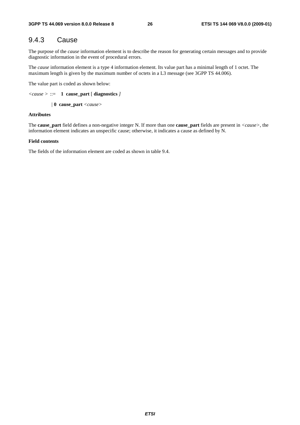### 9.4.3 Cause

The purpose of the *cause* information element is to describe the reason for generating certain messages and to provide diagnostic information in the event of procedural errors.

The *cause* information element is a type 4 information element. Its value part has a minimal length of 1 octet. The maximum length is given by the maximum number of octets in a L3 message (see 3GPP TS 44.006).

The value part is coded as shown below:

```
<cause > ::= 1 cause_part [ diagnostics ]
```
*|* **0 cause\_part** *<cause>* 

#### **Attributes**

The **cause\_part** field defines a non-negative integer N. If more than one **cause\_part** fields are present in *<cause>*, the information element indicates an unspecific cause; otherwise, it indicates a cause as defined by N.

#### **Field contents**

The fields of the information element are coded as shown in table 9.4.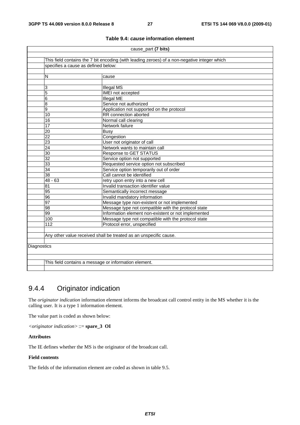|             | cause_part (7 bits)                                                                          |                                                                   |  |  |  |  |  |  |
|-------------|----------------------------------------------------------------------------------------------|-------------------------------------------------------------------|--|--|--|--|--|--|
|             |                                                                                              |                                                                   |  |  |  |  |  |  |
|             | This field contains the 7 bit encoding (with leading zeroes) of a non-negative integer which |                                                                   |  |  |  |  |  |  |
|             | specifies a cause as defined below:                                                          |                                                                   |  |  |  |  |  |  |
|             |                                                                                              |                                                                   |  |  |  |  |  |  |
|             | N                                                                                            | cause                                                             |  |  |  |  |  |  |
|             |                                                                                              |                                                                   |  |  |  |  |  |  |
|             | 3                                                                                            | <b>Illegal MS</b>                                                 |  |  |  |  |  |  |
|             | 5                                                                                            | IMEI not accepted                                                 |  |  |  |  |  |  |
|             | 6                                                                                            | <b>Illegal ME</b>                                                 |  |  |  |  |  |  |
|             | 8                                                                                            | Service not authorized                                            |  |  |  |  |  |  |
|             | 9                                                                                            | Application not supported on the protocol                         |  |  |  |  |  |  |
|             | 10                                                                                           | RR connection aborted                                             |  |  |  |  |  |  |
|             | 16                                                                                           | Normal call clearing                                              |  |  |  |  |  |  |
|             | 17                                                                                           | Network failure                                                   |  |  |  |  |  |  |
|             | 20                                                                                           | <b>Busy</b>                                                       |  |  |  |  |  |  |
|             | $\overline{22}$                                                                              | Congestion                                                        |  |  |  |  |  |  |
|             | $\overline{23}$<br>User not originator of call                                               |                                                                   |  |  |  |  |  |  |
|             | 24                                                                                           | Network wants to maintain call                                    |  |  |  |  |  |  |
|             | $\overline{30}$                                                                              | <b>Response to GET STATUS</b>                                     |  |  |  |  |  |  |
|             | 32                                                                                           | Service option not supported                                      |  |  |  |  |  |  |
|             | $\overline{33}$                                                                              | Requested service option not subscribed                           |  |  |  |  |  |  |
|             | $\overline{34}$                                                                              | Service option temporarily out of order                           |  |  |  |  |  |  |
|             | $\overline{38}$                                                                              | Call cannot be identified                                         |  |  |  |  |  |  |
|             | $48 - 63$                                                                                    | retry upon entry into a new cell                                  |  |  |  |  |  |  |
|             | $\overline{81}$                                                                              | Invalid transaction identifier value                              |  |  |  |  |  |  |
|             | 95                                                                                           | Semantically incorrect message                                    |  |  |  |  |  |  |
|             | 96                                                                                           | Invalid mandatory information                                     |  |  |  |  |  |  |
|             | 97                                                                                           | Message type non-existent or not implemented                      |  |  |  |  |  |  |
|             | $\overline{98}$                                                                              | Message type not compatible with the protocol state               |  |  |  |  |  |  |
|             | $\overline{99}$                                                                              | Information element non-existent or not implemented               |  |  |  |  |  |  |
|             | 100                                                                                          | Message type not compatible with the protocol state               |  |  |  |  |  |  |
|             | 112                                                                                          | Protocol error, unspecified                                       |  |  |  |  |  |  |
|             |                                                                                              |                                                                   |  |  |  |  |  |  |
|             |                                                                                              | Any other value received shall be treated as an unspecific cause. |  |  |  |  |  |  |
|             |                                                                                              |                                                                   |  |  |  |  |  |  |
| Diagnostics |                                                                                              |                                                                   |  |  |  |  |  |  |
|             |                                                                                              |                                                                   |  |  |  |  |  |  |
|             |                                                                                              |                                                                   |  |  |  |  |  |  |
|             | This field contains a message or information element.                                        |                                                                   |  |  |  |  |  |  |
|             |                                                                                              |                                                                   |  |  |  |  |  |  |

#### **Table 9.4:** *cause* **information element**

# 9.4.4 Originator indication

The *originator indication* information element informs the broadcast call control entity in the MS whether it is the calling user. It is a type 1 information element.

The value part is coded as shown below:

*<originator indication>* ::= **spare\_3 OI**

#### **Attributes**

The IE defines whether the MS is the originator of the broadcast call.

#### **Field contents**

The fields of the information element are coded as shown in table 9.5.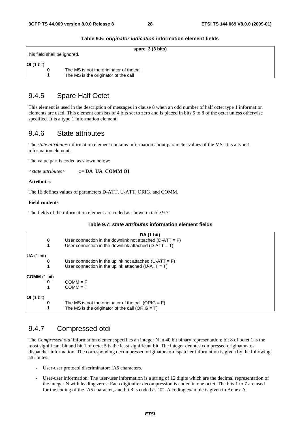|                       | spare_3 (3 bits)                         |
|-----------------------|------------------------------------------|
|                       | This field shall be ignored.             |
| $ OI(1 \text{ bit}) $ |                                          |
| 0                     | The MS is not the originator of the call |
|                       | The MS is the originator of the call     |

#### **Table 9.5:** *originator indication* **information element fields**

### 9.4.5 Spare Half Octet

This element is used in the description of messages in clause 8 when an odd number of half octet type 1 information elements are used. This element consists of 4 bits set to zero and is placed in bits 5 to 8 of the octet unless otherwise specified. It is a type 1 information element.

### 9.4.6 State attributes

The *state attributes* information element contains information about parameter values of the MS. It is a type 1 information element.

The value part is coded as shown below:

*<state attributes>* ::= **DA UA COMM OI**

**Attributes** 

The IE defines values of parameters D-ATT, U-ATT, ORIG, and COMM.

#### **Field contents**

The fields of the information element are coded as shown in table 9.7.

#### **Table 9.7:** *state attributes* **information element fields**

|                     | DA (1 bit)                                                  |
|---------------------|-------------------------------------------------------------|
| 0                   | User connection in the downlink not attached (D-ATT = $F$ ) |
| 1                   | User connection in the downlink attached ( $D-ATT = T$ )    |
| UA (1 bit)          |                                                             |
| 0                   | User connection in the uplink not attached $(U-ATT = F)$    |
|                     | User connection in the uplink attached $(U-ATT = T)$        |
| <b>COMM</b> (1 bit) |                                                             |
| 0                   | $COMM = F$                                                  |
|                     | $COMM = T$                                                  |
| OI(1 bit)           |                                                             |
|                     | The MS is not the originator of the call (ORIG = $F$ )      |
|                     | The MS is the originator of the call (ORIG = $T$ )          |

### 9.4.7 Compressed otdi

The *Compressed otdi* information element specifies an integer N in 40 bit binary representation; bit 8 of octet 1 is the most significant bit and bit 1 of octet 5 is the least significant bit. The integer denotes compressed originator-todispatcher information. The corresponding decompressed originator-to-dispatcher information is given by the following attributes:

- User-user protocol discriminator: IA5 characters.
- User-user information: The user-user information is a string of 12 digits which are the decimal representation of the integer N with leading zeros. Each digit after decompression is coded in one octet. The bits 1 to 7 are used for the coding of the IA5 character, and bit 8 is coded as "0". A coding example is given in Annex A.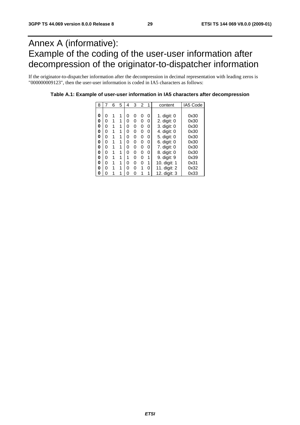# Annex A (informative): Example of the coding of the user-user information after decompression of the originator-to-dispatcher information

If the originator-to-dispatcher information after the decompression in decimal representation with leading zeros is "000000009123", then the user-user information is coded in IA5 characters as follows:

| 8 | 7 | 6 | 5 | 4 | 3 | $\overline{2}$ | 1 | content       | IA5 Code |
|---|---|---|---|---|---|----------------|---|---------------|----------|
|   |   |   |   |   |   |                |   |               |          |
| 0 | 0 |   | 1 | ი | 0 | 0              | 0 | 1. digit: $0$ | 0x30     |
| 0 | 0 |   | 1 | ი | 0 | 0              | 0 | 2. digit: 0   | 0x30     |
| 0 | 0 | 1 | 1 | ი | 0 | 0              | 0 | 3. digit: 0   | 0x30     |
| 0 | 0 |   | 1 | 0 | 0 | 0              | 0 | 4. digit: 0   | 0x30     |
| 0 | 0 |   | 1 | ი | 0 | 0              | 0 | 5. digit: 0   | 0x30     |
| 0 | 0 | 1 | 1 | ი | 0 | 0              | 0 | 6. digit: 0   | 0x30     |
| 0 | 0 |   | 1 | ი | 0 | 0              | 0 | 7. digit: 0   | 0x30     |
| 0 | 0 | 1 | 1 | U | 0 | 0              | 0 | 8. digit: 0   | 0x30     |
| 0 | 0 |   | 1 |   | 0 | 0              | 1 | 9. digit: 9   | 0x39     |
| 0 | 0 |   | 1 | 0 | 0 | 0              | 1 | 10. digit: 1  | 0x31     |
| 0 | 0 | 1 | 1 | ი | 0 | 1              | 0 | 11. digit: 2  | 0x32     |
| 0 | ი |   |   | በ | ი | 1              |   | 12. digit: 3  | 0x33     |

**Table A.1: Example of user-user information in IA5 characters after decompression**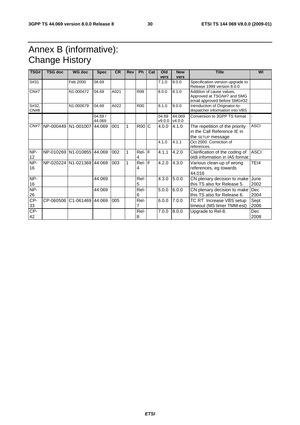# Annex B (informative): Change History

| TSG#          | <b>TSG doc</b>             | <b>WG doc</b>              | <b>Spec</b>      | <b>CR</b> | <b>Rev</b> | <b>Ph</b>  | Cat          | Old<br>vers     | <b>New</b>       | <b>Title</b>                                                                            | WI                 |
|---------------|----------------------------|----------------------------|------------------|-----------|------------|------------|--------------|-----------------|------------------|-----------------------------------------------------------------------------------------|--------------------|
| S#31          |                            | Feb 2000                   | 04.69            |           |            |            |              | 7.1.0           | vers<br>8.0.0    | Specification version upgrade to<br>Release 1999 version 8.0.0                          |                    |
| CN#7          |                            | N1-000472                  | 04.69            | A021      |            | R99        |              | 8.0.0           | 8.1.0            | Addition of cause values.<br>Approved at TSGN#7 and SMG<br>email approved before SMG#32 |                    |
| S#32,<br>CN#8 |                            | N1-000679                  | 04.69            | A022      |            | <b>R00</b> |              | 8.1.0           | 9.0.0            | Introduction of Originator-to-<br>dispatcher information into VBS                       |                    |
|               |                            |                            | 04.69/<br>44.069 |           |            |            |              | 04.69<br>v9.0.0 | 44.069<br>v4.0.0 | Conversion to 3GPP TS format                                                            |                    |
| CN#7          | NP-000449                  | N <sub>1</sub> -001007     | 44.069           | 001       | 1          | <b>R00</b> | $\mathsf{C}$ | 4.0.0           | 4.1.0            | The repetition of the priority<br>in the Call Reference IE in<br>the SETUP message      | <b>ASCI</b>        |
|               |                            |                            |                  |           |            |            |              | 4.1.0           | 4.1.1            | Oct 2000: Correction of<br>references.                                                  |                    |
| NP-<br>12     |                            | NP-010269 N1-010855 44.069 |                  | 002       | 1          | Rel-F<br>4 |              | 4.1.1           | 4.2.0            | Clarification of the coding of<br>otdi information in IA5 format                        | <b>ASCI</b>        |
| NP-<br>16     | NP-020224 N1-021369 44.069 |                            |                  | 003       | 1          | Rel-<br>4  | F            | 4.2.0           | 4.3.0            | Various clean-up of wrong<br>references, eg towards<br>44.018                           | TEI4               |
| NP-<br>16     |                            |                            | 44.069           |           |            | Rel-<br>5  |              | 4.3.0           | 5.0.0            | CN plenary decision to make<br>this TS also for Release 5.                              | June<br>2002       |
| NP-<br>26     |                            |                            | 44.069           |           |            | Rel-<br>6  |              | 5.0.0           | 6.0.0            | CN plenary decision to make<br>this TS also for Release 6.                              | Dec<br>2004        |
| CP-<br>33     | CP-060506                  | C1-061469 44.069           |                  | 005       |            | Rel-<br>7  |              | 6.0.0           | 7.0.0            | TC RT Increase VBS setup<br>timeout (MS timer TMM-est)                                  | Sept<br>2006       |
| $CP-$<br>42   |                            |                            |                  |           |            | Rel-<br>8  |              | 7.0.0           | 8.0.0            | Upgrade to Rel-8.                                                                       | <b>Dec</b><br>2008 |